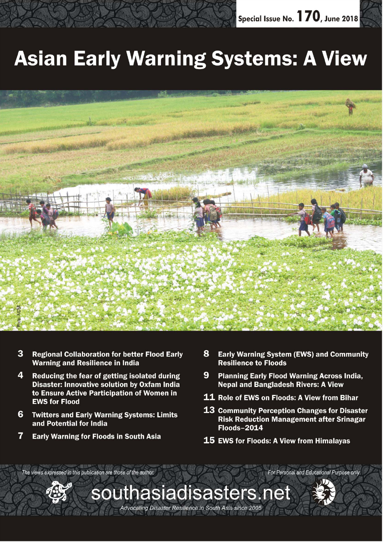

# **Asian Early Warning Systems: A View**



- 3 **Regional Collaboration for better Flood Early Warning and Resilience in India**
- 4 Reducing the fear of getting isolated during **Disaster: Innovative solution by Oxfam India** to Ensure Active Participation of Women in **EWS for Flood**
- 6 **Twitters and Early Warning Systems: Limits** and Potential for India
- 7 **Early Warning for Floods in South Asia**

The views expressed in this publication are those of the author.

- 8 **Early Warning System (EWS) and Community Resilience to Floods**
- 9 **Planning Early Flood Warning Across India. Nepal and Bangladesh Rivers: A View**
- 11 Role of EWS on Floods: A View from Bihar
- 13 Community Perception Changes for Disaster **Risk Reduction Management after Srinagar Floods-2014**
- 15 EWS for Floods: A View from Himalayas

southasiadisasters.net Advocating Disaster Resilience in South Asia since 2005



For Personal and Educational Purpose only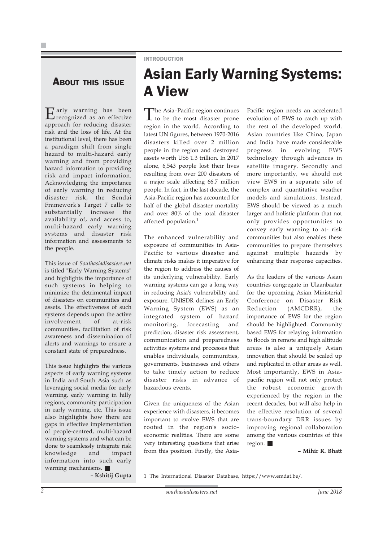### ABOUT THIS ISSUE

Early warning has been recognized as an effective approach for reducing disaster risk and the loss of life. At the institutional level, there has been a paradigm shift from single hazard to multi-hazard early warning and from providing hazard information to providing risk and impact information. Acknowledging the importance of early warning in reducing disaster risk, the Sendai Framework's Target 7 calls to substantially increase the availability of, and access to, multi-hazard early warning systems and disaster risk information and assessments to the people.

This issue of *Southasiadisasters.net* is titled "Early Warning Systems" and highlights the importance of such systems in helping to minimize the detrimental impact of disasters on communities and assets. The effectiveness of such systems depends upon the active involvement of at-risk communities, facilitation of risk awareness and dissemination of alerts and warnings to ensure a constant state of preparedness.

This issue highlights the various aspects of early warning systems in India and South Asia such as leveraging social media for early warning, early warning in hilly regions, community participation in early warning, etc. This issue also highlights how there are gaps in effective implementation of people-centred, multi-hazard warning systems and what can be done to seamlessly integrate risk knowledge and impact information into such early warning mechanisms.

**– Kshitij Gupta**

### INTRODUCTION

### Asian Early Warning Systems: A View

The Asia–Pacific region continues to be the most disaster prone region in the world. According to latest UN figures, between 1970-2016 disasters killed over 2 million people in the region and destroyed assets worth US\$ 1.3 trillion. In 2017 alone, 6,543 people lost their lives resulting from over 200 disasters of a major scale affecting 66.7 million people. In fact, in the last decade, the Asia-Pacific region has accounted for half of the global disaster mortality and over 80% of the total disaster affected population.<sup>1</sup>

The enhanced vulnerability and exposure of communities in Asia-Pacific to various disaster and climate risks makes it imperative for the region to address the causes of its underlying vulnerability. Early warning systems can go a long way in reducing Asia's vulnerability and exposure. UNISDR defines an Early Warning System (EWS) as an integrated system of hazard monitoring, forecasting and prediction, disaster risk assessment, communication and preparedness activities systems and processes that enables individuals, communities, governments, businesses and others to take timely action to reduce disaster risks in advance of hazardous events.

Given the uniqueness of the Asian experience with disasters, it becomes important to evolve EWS that are rooted in the region's socioeconomic realities. There are some very interesting questions that arise from this position. Firstly, the AsiaPacific region needs an accelerated evolution of EWS to catch up with the rest of the developed world. Asian countries like China, Japan and India have made considerable progress in evolving EWS technology through advances in satellite imagery. Secondly and more importantly, we should not view EWS in a separate silo of complex and quantitative weather models and simulations. Instead, EWS should be viewed as a much larger and holistic platform that not only provides opportunities to convey early warning to at- risk communities but also enables these communities to prepare themselves against multiple hazards by enhancing their response capacities.

As the leaders of the various Asian countries congregate in Ulaanbaatar for the upcoming Asian Ministerial Conference on Disaster Risk Reduction (AMCDRR), the importance of EWS for the region should be highlighted. Community based EWS for relaying information to floods in remote and high altitude areas is also a uniquely Asian innovation that should be scaled up and replicated in other areas as well. Most importantly, EWS in Asiapacific region will not only protect the robust economic growth experienced by the region in the recent decades, but will also help in the effective resolution of several trans-boundary DRR issues by improving regional collaboration among the various countries of this region.

#### **– Mihir R. Bhatt**

1 The International Disaster Database, https://www.emdat.be/.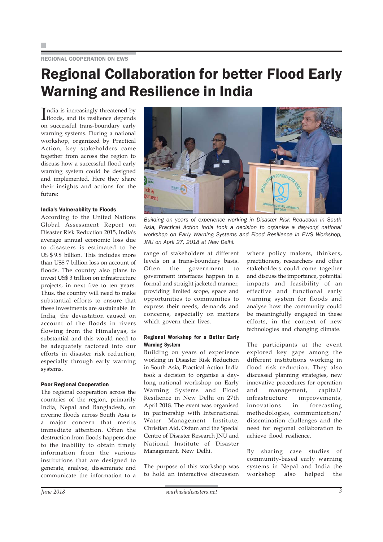REGIONAL COOPERATION ON EWS

### Regional Collaboration for better Flood Early Warning and Resilience in India

India is increasingly threatened by<br>floods, and its resilience depends floods, and its resilience depends on successful trans-boundary early warning systems. During a national workshop, organized by Practical Action, key stakeholders came together from across the region to discuss how a successful flood early warning system could be designed and implemented. Here they share their insights and actions for the future:

#### India's Vulnerability to Floods

According to the United Nations Global Assessment Report on Disaster Risk Reduction 2015, India's average annual economic loss due to disasters is estimated to be US \$ 9.8 billion. This includes more than US\$ 7 billion loss on account of floods. The country also plans to invest US\$ 3 trillion on infrastructure projects, in next five to ten years. Thus, the country will need to make substantial efforts to ensure that these investments are sustainable. In India, the devastation caused on account of the floods in rivers flowing from the Himalayas, is substantial and this would need to be adequately factored into our efforts in disaster risk reduction, especially through early warning systems.

#### Poor Regional Cooperation

The regional cooperation across the countries of the region, primarily India, Nepal and Bangladesh, on riverine floods across South Asia is a major concern that merits immediate attention. Often the destruction from floods happens due to the inability to obtain timely information from the various institutions that are designed to generate, analyse, disseminate and communicate the information to a



*Building on years of experience working in Disaster Risk Reduction in South Asia, Practical Action India took a decision to organise a day-long national workshop on Early Warning Systems and Flood Resilience in EWS Workshop, JNU on April 27, 2018 at New Delhi.*

range of stakeholders at different levels on a trans-boundary basis. Often the government to government interfaces happen in a formal and straight jacketed manner, providing limited scope, space and opportunities to communities to express their needs, demands and concerns, especially on matters which govern their lives.

#### Regional Workshop for a Better Early Warning System

Building on years of experience working in Disaster Risk Reduction in South Asia, Practical Action India took a decision to organise a daylong national workshop on Early Warning Systems and Flood Resilience in New Delhi on 27th April 2018. The event was organised in partnership with International Water Management Institute, Christian Aid, Oxfam and the Special Centre of Disaster Research JNU and National Institute of Disaster Management, New Delhi.

The purpose of this workshop was to hold an interactive discussion

where policy makers, thinkers, practitioners, researchers and other stakeholders could come together and discuss the importance, potential impacts and feasibility of an effective and functional early warning system for floods and analyse how the community could be meaningfully engaged in these efforts, in the context of new technologies and changing climate.

The participants at the event explored key gaps among the different institutions working in flood risk reduction. They also discussed planning strategies, new innovative procedures for operation and management, capital/ infrastructure improvements, innovations in forecasting methodologies, communication/ dissemination challenges and the need for regional collaboration to achieve flood resilience.

By sharing case studies of community-based early warning systems in Nepal and India the workshop also helped the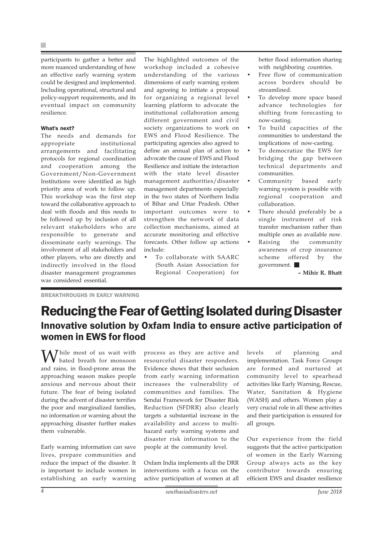participants to gather a better and more nuanced understanding of how an effective early warning system could be designed and implemented. Including operational, structural and policy-support requirements, and its eventual impact on community resilience.

#### What's next?

The needs and demands for appropriate institutional arrangements and facilitating protocols for regional coordination and cooperation among the Government/Non-Government Institutions were identified as high priority area of work to follow up. This workshop was the first step toward the collaborative approach to deal with floods and this needs to be followed up by inclusion of all relevant stakeholders who are responsible to generate and disseminate early warnings. The involvement of all stakeholders and other players, who are directly and indirectly involved in the flood disaster management programmes was considered essential.

The highlighted outcomes of the workshop included a cohesive understanding of the various dimensions of early warning system and agreeing to initiate a proposal for organizing a regional level learning platform to advocate the institutional collaboration among different government and civil society organizations to work on EWS and Flood Resilience. The participating agencies also agreed to define an annual plan of action to advocate the cause of EWS and Flood Resilience and initiate the interaction with the state level disaster management authorities/disaster management departments especially in the two states of Northern India of Bihar and Uttar Pradesh. Other important outcomes were to strengthen the network of data collection mechanisms, aimed at accurate monitoring and effective forecasts. Other follow up actions include:

• To collaborate with SAARC (South Asian Association for Regional Cooperation) for better flood information sharing with neighboring countries.

- Free flow of communication across borders should be streamlined.
- To develop more space based advance technologies for shifting from forecasting to now-casting.
- To build capacities of the communities to understand the implications of now-casting.
- To democratize the EWS for bridging the gap between technical departments and communities.
- Community based early warning system is possible with regional cooperation and collaboration.
- There should preferably be a single instrument of risk transfer mechanism rather than multiple ones as available now.
- Raising the community awareness of crop insurance scheme offered by the government.

**– Mihir R. Bhatt**

BREAKTHROUGHS IN EARLY WARNING

### Reducing the Fear of Getting Isolated during Disaster Innovative solution by Oxfam India to ensure active participation of women in EWS for flood

**M** hile most of us wait with bated breath for monsoon and rains, in flood-prone areas the approaching season makes people anxious and nervous about their future. The fear of being isolated during the advent of disaster terrifies the poor and marginalized families, no information or warning about the approaching disaster further makes them vulnerable.

Early warning information can save lives, prepare communities and reduce the impact of the disaster. It is important to include women in establishing an early warning process as they are active and resourceful disaster responders. Evidence shows that their seclusion from early warning information increases the vulnerability of communities and families. The Sendai Framework for Disaster Risk Reduction (SFDRR) also clearly targets a substantial increase in the availability and access to multihazard early warning systems and disaster risk information to the people at the community level.

Oxfam India implements all the DRR interventions with a focus on the active participation of women at all levels of planning and implementation. Task Force Groups are formed and nurtured at community level to spearhead activities like Early Warning, Rescue, Water, Sanitation & Hygiene (WASH) and others. Women play a very crucial role in all these activities and their participation is ensured for all groups.

Our experience from the field suggests that the active participation of women in the Early Warning Group always acts as the key contributor towards ensuring efficient EWS and disaster resilience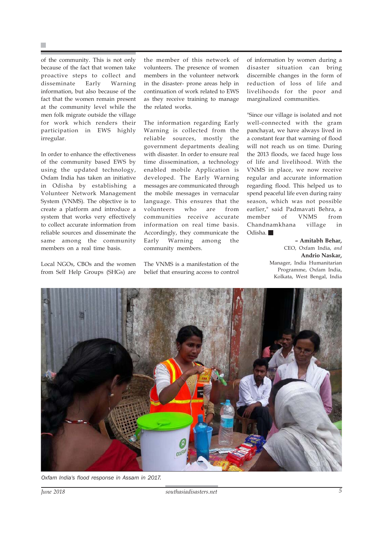of the community. This is not only because of the fact that women take proactive steps to collect and disseminate Early Warning information, but also because of the fact that the women remain present at the community level while the men folk migrate outside the village for work which renders their participation in EWS highly irregular.

In order to enhance the effectiveness of the community based EWS by using the updated technology, Oxfam India has taken an initiative in Odisha by establishing a Volunteer Network Management System (VNMS). The objective is to create a platform and introduce a system that works very effectively to collect accurate information from reliable sources and disseminate the same among the community members on a real time basis.

Local NGOs, CBOs and the women from Self Help Groups (SHGs) are

the member of this network of volunteers. The presence of women members in the volunteer network in the disaster- prone areas help in continuation of work related to EWS as they receive training to manage the related works.

The information regarding Early Warning is collected from the reliable sources, mostly the government departments dealing with disaster. In order to ensure real time dissemination, a technology enabled mobile Application is developed. The Early Warning messages are communicated through the mobile messages in vernacular language. This ensures that the volunteers who are from communities receive accurate information on real time basis. Accordingly, they communicate the Early Warning among the community members.

The VNMS is a manifestation of the belief that ensuring access to control of information by women during a disaster situation can bring discernible changes in the form of reduction of loss of life and livelihoods for the poor and marginalized communities.

"Since our village is isolated and not well-connected with the gram panchayat, we have always lived in a constant fear that warning of flood will not reach us on time. During the 2013 floods, we faced huge loss of life and livelihood. With the VNMS in place, we now receive regular and accurate information regarding flood. This helped us to spend peaceful life even during rainy season, which was not possible earlier," said Padmavati Behra, a member of VNMS from Chandnamkhana village in Odisha.

> **– Amitabh Behar,** CEO, Oxfam India, *and* **Andrio Naskar,** Manager, India Humanitarian Programme, Oxfam India, Kolkata, West Bengal, India



*Oxfam India's flood response in Assam in 2017.*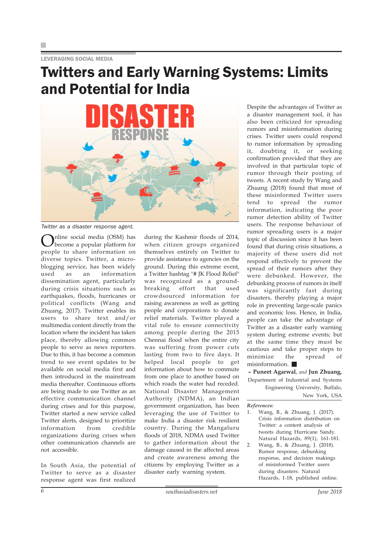LEVERAGING SOCIAL MEDIA

### Twitters and Early Warning Systems: Limits and Potential for India



*Twitter as a disaster response agent.*

Online social media (OSM) has become a popular platform for people to share information on diverse topics. Twitter, a microblogging service, has been widely used as an information dissemination agent, particularly during crisis situations such as earthquakes, floods, hurricanes or political conflicts (Wang and Zhuang, 2017). Twitter enables its users to share text and/or multimedia content directly from the location where the incident has taken place, thereby allowing common people to serve as news reporters. Due to this, it has become a common trend to see event updates to be available on social media first and then introduced in the mainstream media thereafter. Continuous efforts are being made to use Twitter as an effective communication channel during crises and for this purpose, Twitter started a new service called Twitter alerts, designed to prioritize information from credible organizations during crises when other communication channels are not accessible.

In South Asia, the potential of Twitter to serve as a disaster response agent was first realized

during the Kashmir floods of 2014, when citizen groups organized themselves entirely on Twitter to provide assistance to agencies on the ground. During this extreme event, a Twitter hashtag "# JK Flood Relief" was recognized as a groundbreaking effort that used crowdsourced information for raising awareness as well as getting people and corporations to donate relief materials. Twitter played a vital role to ensure connectivity among people during the 2015 Chennai flood when the entire city was suffering from power cuts lasting from two to five days. It helped local people to get information about how to commute from one place to another based on which roads the water had receded. National Disaster Management Authority (NDMA), an Indian government organization, has been leveraging the use of Twitter to make India a disaster risk resilient country. During the Mangaluru floods of 2018, NDMA used Twitter to gather information about the damage caused in the affected areas and create awareness among the citizens by employing Twitter as a disaster early warning system.

Despite the advantages of Twitter as a disaster management tool, it has also been criticized for spreading rumors and misinformation during crises. Twitter users could respond to rumor information by spreading it, doubting it, or seeking confirmation provided that they are involved in that particular topic of rumor through their posting of tweets. A recent study by Wang and Zhuang (2018) found that most of these misinformed Twitter users tend to spread the rumor information, indicating the poor rumor detection ability of Twitter users. The response behaviour of rumor spreading users is a major topic of discussion since it has been found that during crisis situations, a majority of these users did not respond effectively to prevent the spread of their rumors after they were debunked. However, the debunking process of rumors in itself was significantly fast during disasters, thereby playing a major role in preventing large-scale panics and economic loss. Hence, in India, people can take the advantage of Twitter as a disaster early warning system during extreme events; but at the same time they must be cautious and take proper steps to minimize the spread of misinformation.

**– Puneet Agarwal**, *and* **Jun Zhuang,** Department of Industrial and Systems Engineering University, Buffalo,

*References:*

1. Wang, B., & Zhuang, J. (2017). Crisis information distribution on Twitter: a content analysis of tweets during Hurricane Sandy. Natural Hazards, 89(1), 161-181.

2. Wang, B., & Zhuang, J. (2018). Rumor response, debunking response, and decision makings of misinformed Twitter users during disasters. Natural Hazards, 1-18, published online.

New York, USA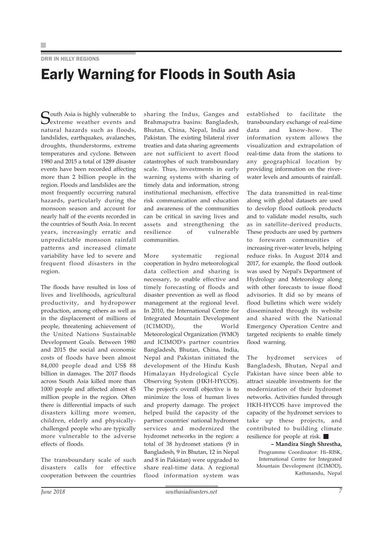#### DRR IN HILLY REGIONS

### Early Warning for Floods in South Asia

South Asia is highly vulnerable to<br>Sextreme weather events and natural hazards such as floods, landslides, earthquakes, avalanches, droughts, thunderstorms, extreme temperatures and cyclone. Between 1980 and 2015 a total of 1289 disaster events have been recorded affecting more than 2 billion people in the region. Floods and landslides are the most frequently occurring natural hazards, particularly during the monsoon season and account for nearly half of the events recorded in the countries of South Asia. In recent years, increasingly erratic and unpredictable monsoon rainfall patterns and increased climate variability have led to severe and frequent flood disasters in the region.

The floods have resulted in loss of lives and livelihoods, agricultural productivity, and hydropower production, among others as well as in the displacement of millions of people, threatening achievement of the United Nations Sustainable Development Goals. Between 1980 and 2015 the social and economic costs of floods have been almost 84,000 people dead and US\$ 88 billion in damages. The 2017 floods across South Asia killed more than 1000 people and affected almost 45 million people in the region. Often there is differential impacts of such disasters killing more women, children, elderly and physicallychallenged people who are typically more vulnerable to the adverse effects of floods.

The transboundary scale of such disasters calls for effective cooperation between the countries

sharing the Indus, Ganges and Brahmaputra basins: Bangladesh, Bhutan, China, Nepal, India and Pakistan. The existing bilateral river treaties and data sharing agreements are not sufficient to avert flood catastrophes of such transboundary scale. Thus, investments in early warning systems with sharing of timely data and information, strong institutional mechanism, effective risk communication and education and awareness of the communities can be critical in saving lives and assets and strengthening the resilience of vulnerable communities.

More systematic regional cooperation in hydro meteorological data collection and sharing is necessary, to enable effective and timely forecasting of floods and disaster prevention as well as flood management at the regional level. In 2010, the International Centre for Integrated Mountain Development (ICIMOD), the World Meteorological Organization (WMO) and ICIMOD's partner countries Bangladesh, Bhutan, China, India, Nepal and Pakistan initiated the development of the Hindu Kush Himalayan Hydrological Cycle Observing System (HKH-HYCOS). The project's overall objective is to minimize the loss of human lives and property damage. The project helped build the capacity of the partner countries' national hydromet services and modernized the hydromet networks in the region: a total of 38 hydromet stations (9 in Bangladesh, 9 in Bhutan, 12 in Nepal and 8 in Pakistan) were upgraded to share real-time data. A regional flood information system was established to facilitate the transboundary exchange of real-time data and know-how. The information system allows the visualization and extrapolation of real-time data from the stations to any geographical location by providing information on the riverwater levels and amounts of rainfall.

The data transmitted in real-time along with global datasets are used to develop flood outlook products and to validate model results, such as in satellite-derived products. These products are used by partners to forewarn communities of increasing river-water levels, helping reduce risks. In August 2014 and 2017, for example, the flood outlook was used by Nepal's Department of Hydrology and Meteorology along with other forecasts to issue flood advisories. It did so by means of flood bulletins which were widely disseminated through its website and shared with the National Emergency Operation Centre and targeted recipients to enable timely flood warning.

The hydromet services of Bangladesh, Bhutan, Nepal and Pakistan have since been able to attract sizeable investments for the modernization of their hydromet networks. Activities funded through HKH-HYCOS have improved the capacity of the hydromet services to take up these projects, and contributed to building climate resilience for people at risk.

> **– Mandira Singh Shrestha,** Programme Coordinator: Hi–RISK, International Centre for Integrated Mountain Development (ICIMOD), Kathmandu, Nepal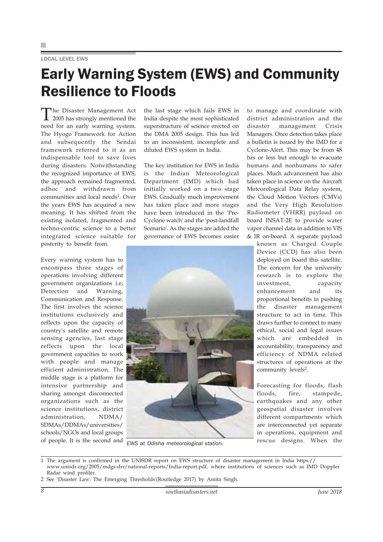#### LOCAL LEVEL EWS

### Early Warning System (EWS) and Community Resilience to Floods

The Disaster Management Act 2005 has strongly mentioned the need for an early warning system. The Hyogo Framework for Action and subsequently the Sendai framework referred to it as an indispensable tool to save lives during disasters. Notwithstanding the recognized importance of EWS, the approach remained fragmented, adhoc and withdrawn from communities and local needs<sup>1</sup>. Over the years EWS has acquired a new meaning. It has shifted from the existing isolated, fragmented and techno-centric science to a better integrated science suitable for posterity to benefit from.

Every warning system has to encompass three stages of operations involving different government organizations i.e; Detection and Warning, Communication and Response. The first involves the science institutions exclusively and reflects upon the capacity of country's satellite and remote sensing agencies, last stage reflects upon the local government capacities to work with people and manage efficient administration. The middle stage is a platform for intensive partnership and sharing amongst disconnected organizations such as the science institutions, district administration, NDMA/ SDMAs/DDMAs/universities/ schools/NGOs and local groups of people. It is the second and

the last stage which fails EWS in India despite the most sophisticated superstructure of science erected on the DMA 2005 design. This has led to an inconsistent, incomplete and diluted EWS system in India.

The key institution for EWS in India is the Indian Meteorological Department (IMD) which had initially worked on a two stage EWS. Gradually much improvement has taken place and more stages have been introduced in the 'Pre-Cyclone watch' and the 'post-landfall Scenario'. As the stages are added the governance of EWS becomes easier



to manage and coordinate with district administration and the disaster management Crisis Managers. Once detection takes place a bulletin is issued by the IMD for a Cyclone-Alert. This may be from 48 hrs or less but enough to evacuate humans and nonhumans to safer places. Much advancement has also taken place in science on the Aircraft Meteorological Data Relay system, the Cloud Motion Vectors (CMVs) and the Very High Resolution Radiometer (VHRR) payload on board INSAT-2E to provide water vapor channel data in addition to VIS & IR on-board. A separate payload

> known as Charged Couple Device (CCD) has also been deployed on board this satellite. The concern for the university research is to explore the investment, capacity enhancement and its proportional benefits in pushing the disaster management structure to act in time. This draws further to connect to many ethical, social and legal issues which are embedded in accountability, transparency and efficiency of NDMA related structures of operations at the community levels<sup>2</sup>.

Forecasting for floods, flash floods, fire, stampede, earthquakes and any other geospatial disaster involves different compartments which are interconnected yet separate in operations, equipment and rescue designs. When the *EWS at Odisha meteorological station.*

<sup>1</sup> The argument is confirmed in the UNISDR report on EWS structure of disaster management in India https:// www.unisdr.org/2005/mdgs-drr/national-reports/India-report.pdf, where institutions of sciences such as IMD Doppler Radar wind profiler.

<sup>2</sup> See 'Disaster Law: The Emerging Thresholds'(Routledge 2017) by Amita Singh.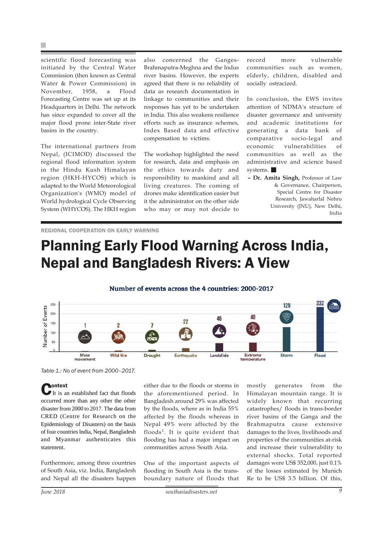scientific flood forecasting was initiated by the Central Water Commission (then known as Central Water & Power Commission) in November, 1958, a Flood Forecasting Centre was set up at its Headquarters in Delhi. The network has since expanded to cover all the major flood prone inter-State river basins in the country.

The international partners from Nepal, (ICIMOD) discussed the regional flood information system in the Hindu Kush Himalayan region (HKH-HYCOS) which is adapted to the World Meteorological Organization's (WMO) model of World hydrological Cycle Observing System (WHYCOS). The HKH region also concerned the Ganges-Brahmaputra-Meghna and the Indus river basins. However, the experts agreed that there is no reliability of data as research documentation in linkage to communities and their responses has yet to be undertaken in India. This also weakens resilience efforts such as insurance schemes, Index Based data and effective compensation to victims.

The workshop highlighted the need for research, data and emphasis on the ethics towards duty and responsibility to mankind and all living creatures. The coming of drones make identification easier but it the administrator on the other side who may or may not decide to

record more vulnerable communities such as women, elderly, children, disabled and socially ostracized.

In conclusion, the EWS invites attention of NDMA's structure of disaster governance and university and academic institutions for generating a data bank of comparative socio-legal and economic vulnerabilities of communities as well as the administrative and science based systems.

**– Dr. Amita Singh,** Professor of Law & Governance, Chairperson, Special Centre for Disaster Research, Jawaharlal Nehru University (JNU), New Delhi, India

REGIONAL COOPERATION ON EARLY WARNING

### Planning Early Flood Warning Across India, Nepal and Bangladesh Rivers: A View





*Table-1.: No of event from 2000–2017.*

**Context**<br>It is an established fact that floods occurred more than any other the other disaster from 2000 to 2017. The data from CRED (Centre for Research on the Epidemiology of Disasters) on the basis of four countries India, Nepal, Bangladesh and Myanmar authenticates this statement.

Furthermore, among three countries of South Asia, viz. India, Bangladesh and Nepal all the disasters happen either due to the floods or storms in the aforementioned period. In Bangladesh around 29% was affected by the floods, where as in India 55% affected by the floods whereas in Nepal 49% were affected by the floods1. It is quite evident that flooding has had a major impact on communities across South Asia.

One of the important aspects of flooding in South Asia is the transboundary nature of floods that

mostly generates from the Himalayan mountain range. It is widely known that recurring catastrophes/ floods in trans-border river basins of the Ganga and the Brahmaputra cause extensive damages to the lives, livelihoods and properties of the communities at-risk and increase their vulnerability to external shocks. Total reported damages were US\$ 352,000, just 0.1% of the losses estimated by Munich Re to be US\$ 3.5 billion. Of this,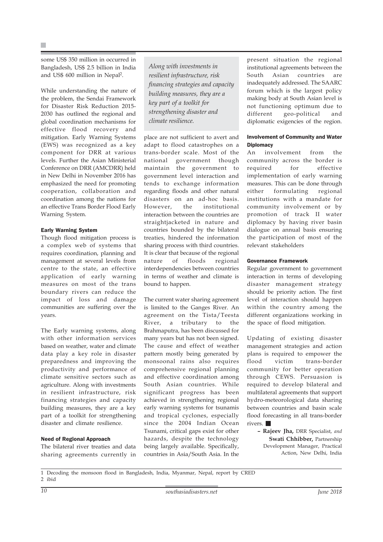some US\$ 350 million in occurred in Bangladesh, US\$ 2.5 billion in India and US\$ 600 million in Nepal2.

While understanding the nature of the problem, the Sendai Framework for Disaster Risk Reduction 2015- 2030 has outlined the regional and global coordination mechanisms for effective flood recovery and mitigation. Early Warning Systems (EWS) was recognized as a key component for DRR at various levels. Further the Asian Ministerial Conference on DRR (AMCDRR) held in New Delhi in November 2016 has emphasized the need for promoting cooperation, collaboration and coordination among the nations for an effective Trans Border Flood Early Warning System.

#### Early Warning System

Though flood mitigation process is a complex web of systems that requires coordination, planning and management at several levels from centre to the state, an effective application of early warning measures on most of the trans boundary rivers can reduce the impact of loss and damage communities are suffering over the years.

The Early warning systems, along with other information services based on weather, water and climate data play a key role in disaster preparedness and improving the productivity and performance of climate sensitive sectors such as agriculture. Along with investments in resilient infrastructure, risk financing strategies and capacity building measures, they are a key part of a toolkit for strengthening disaster and climate resilience.

#### Need of Regional Approach

The bilateral river treaties and data sharing agreements currently in

*Along with investments in resilient infrastructure, risk financing strategies and capacity building measures, they are a key part of a toolkit for strengthening disaster and climate resilience.*

place are not sufficient to avert and adapt to flood catastrophes on a trans-border scale. Most of the national government though maintain the government to government level interaction and tends to exchange information regarding floods and other natural disasters on an ad-hoc basis. However, the institutional interaction between the countries are straightjacketed in nature and countries bounded by the bilateral treaties, hindered the information sharing process with third countries. It is clear that because of the regional nature of floods regional interdependencies between countries in terms of weather and climate is bound to happen.

The current water sharing agreement is limited to the Ganges River. An agreement on the Tista/Teesta River, a tributary to the Brahmaputra, has been discussed for many years but has not been signed. The cause and effect of weather pattern mostly being generated by monsoonal rains also requires comprehensive regional planning and effective coordination among South Asian countries. While significant progress has been achieved in strengthening regional early warning systems for tsunamis and tropical cyclones, especially since the 2004 Indian Ocean Tsunami, critical gaps exist for other hazards, despite the technology being largely available. Specifically, countries in Asia/South Asia. In the present situation the regional institutional agreements between the South Asian countries are inadequately addressed. The SAARC forum which is the largest policy making body at South Asian level is not functioning optimum due to different geo-political and diplomatic exigencies of the region.

#### Involvement of Community and Water **Diplomacy**

An involvement from the community across the border is required for effective implementation of early warning measures. This can be done through either formulating regional institutions with a mandate for community involvement or by promotion of track II water diplomacy by having river basin dialogue on annual basis ensuring the participation of most of the relevant stakeholders

#### Governance Framework

Regular government to government interaction in terms of developing disaster management strategy should be priority action. The first level of interaction should happen within the country among the different organizations working in the space of flood mitigation.

Updating of existing disaster management strategies and action plans is required to empower the flood victim trans-border community for better operation through CEWS. Persuasion is required to develop bilateral and multilateral agreements that support hydro-meteorological data sharing between countries and basin scale flood forecasting in all trans-border rivers.

> **– Rajeev Jha,** DRR Specialist, *and* **Swati Chhibber,** Partnership Development Manager, Practical Action, New Delhi, India

<sup>1</sup> Decoding the monsoon flood in Bangladesh, India, Myanmar, Nepal, report by CRED 2 ibid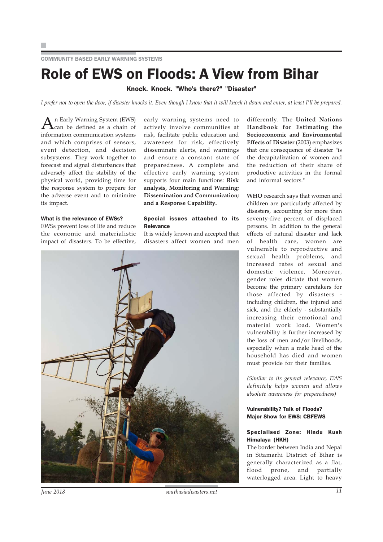## Role of EWS on Floods: A View from Bihar

#### Knock. Knock. "Who's there?" "Disaster"

*I prefer not to open the door, if disaster knocks it. Even though I know that it will knock it down and enter, at least I'll be prepared.*

n Early Warning System (EWS) can be defined as a chain of information communication systems and which comprises of sensors, event detection, and decision subsystems. They work together to forecast and signal disturbances that adversely affect the stability of the physical world, providing time for the response system to prepare for the adverse event and to minimize its impact.

#### What is the relevance of EWSs?

EWSs prevent loss of life and reduce the economic and materialistic impact of disasters. To be effective, early warning systems need to actively involve communities at risk, facilitate public education and awareness for risk, effectively disseminate alerts, and warnings and ensure a constant state of preparedness. A complete and effective early warning system supports four main functions: **Risk analysis, Monitoring and Warning; Dissemination and Communication; and a Response Capability.**

#### Special issues attached to its Relevance

It is widely known and accepted that disasters affect women and men



differently. The **United Nations Handbook for Estimating the Socioeconomic and Environmental Effects of Disaster** (2003) emphasizes that one consequence of disaster "is the decapitalization of women and the reduction of their share of productive activities in the formal and informal sectors."

**WHO** research says that women and children are particularly affected by disasters, accounting for more than seventy-five percent of displaced persons. In addition to the general effects of natural disaster and lack of health care, women are vulnerable to reproductive and sexual health problems, and increased rates of sexual and domestic violence. Moreover, gender roles dictate that women become the primary caretakers for those affected by disasters including children, the injured and sick, and the elderly - substantially increasing their emotional and material work load. Women's vulnerability is further increased by the loss of men and/or livelihoods, especially when a male head of the household has died and women must provide for their families.

*(Similar to its general relevance, EWS definitely helps women and allows absolute awareness for preparedness)*

#### Vulnerability? Talk of Floods? Major Show for EWS: CBFEWS

#### Specialised Zone: Hindu Kush Himalaya (HKH)

The border between India and Nepal in Sitamarhi District of Bihar is generally characterized as a flat,<br>flood prone, and partially flood prone, and waterlogged area. Light to heavy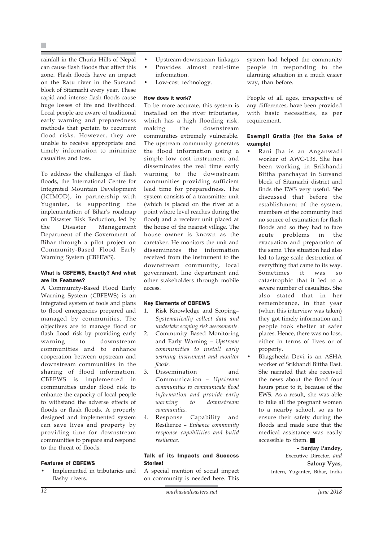rainfall in the Churia Hills of Nepal can cause flash floods that affect this zone. Flash floods have an impact on the Ratu river in the Sursand block of Sitamarhi every year. These rapid and intense flash floods cause huge losses of life and livelihood. Local people are aware of traditional early warning and preparedness methods that pertain to recurrent flood risks. However, they are unable to receive appropriate and timely information to minimize casualties and loss.

To address the challenges of flash floods, the International Centre for Integrated Mountain Development (ICIMOD), in partnership with Yuganter, is supporting the implementation of Bihar's roadmap on Disaster Risk Reduction, led by the Disaster Management Department of the Government of Bihar through a pilot project on Community-Based Flood Early Warning System (CBFEWS).

#### What is CBFEWS, Exactly? And what are its Features?

A Community-Based Flood Early Warning System (CBFEWS) is an integrated system of tools and plans to flood emergencies prepared and managed by communities. The objectives are to manage flood or flash flood risk by providing early warning to downstream communities and to enhance cooperation between upstream and downstream communities in the sharing of flood information. CBFEWS is implemented in communities under flood risk to enhance the capacity of local people to withstand the adverse effects of floods or flash floods. A properly designed and implemented system can save lives and property by providing time for downstream communities to prepare and respond to the threat of floods.

#### Features of CBFEWS

Implemented in tributaries and flashy rivers.

- Upstream-downstream linkages
- Provides almost real-time information.
- 
- Low-cost technology.

#### How does it work?

To be more accurate, this system is installed on the river tributaries, which has a high flooding risk, making the downstream communities extremely vulnerable. The upstream community generates the flood information using a simple low cost instrument and disseminates the real time early warning to the downstream communities providing sufficient lead time for preparedness. The system consists of a transmitter unit (which is placed on the river at a point where level reaches during the flood) and a receiver unit placed at the house of the nearest village. The house owner is known as the caretaker. He monitors the unit and disseminates the information received from the instrument to the downstream community, local government, line department and other stakeholders through mobile access.

#### Key Elements of CBFEWS

- 1. Risk Knowledge and Scoping– *Systematically collect data and undertake scoping risk assessments.*
- 2. Community Based Monitoring and Early Warning – *Upstream communities to install early warning instrument and monitor floods.*
- 3. Dissemination and Communication – *Upstream communities to communicate flood information and provide early warning to downstream communities.*
- 4. Response Capability and Resilience – *Enhance community response capabilities and build resilience.*

#### Talk of its Impacts and Success **Stories!**

A special mention of social impact on community is needed here. This system had helped the community people in responding to the alarming situation in a much easier way, than before.

People of all ages, irrespective of any differences, have been provided with basic necessities, as per requirement.

#### Exempli Gratia (for the Sake of example)

- Rani Jha is an Anganwadi worker of AWC-138. She has been working in Srikhandi Bittha panchayat in Sursand block of Sitamarhi district and finds the EWS very useful. She discussed that before the establishment of the system, members of the community had no source of estimation for flash floods and so they had to face acute problems in the evacuation and preparation of the same. This situation had also led to large scale destruction of everything that came to its way. Sometimes it was so catastrophic that it led to a severe number of casualties. She also stated that in her remembrance, in that year (when this interview was taken) they got timely information and people took shelter at safer places. Hence, there was no loss, either in terms of lives or of property.
- Bhagsheela Devi is an ASHA worker of Srikhandi Bittha East. She narrated that she received the news about the flood four hours prior to it, because of the EWS. As a result, she was able to take all the pregnant women to a nearby school, so as to ensure their safety during the floods and made sure that the medical assistance was easily accessible to them.

**– Sanjay Pandey,** Executive Director, *and* **Salony Vyas,** Intern, Yuganter, Bihar, India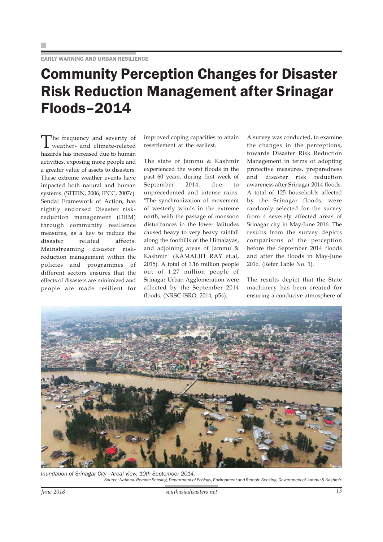### Community Perception Changes for Disaster Risk Reduction Management after Srinagar Floods–2014

The frequency and severity of weather- and climate-related hazards has increased due to human activities, exposing more people and a greater value of assets to disasters. These extreme weather events have impacted both natural and human systems. (STERN, 2006; IPCC, 2007c). Sendai Framework of Action, has rightly endorsed Disaster riskreduction management (DRM) through community resilience measures, as a key to reduce the disaster related affects. Mainstreaming disaster riskreduction management within the policies and programmes of different sectors ensures that the effects of disasters are minimized and people are made resilient for improved coping capacities to attain resettlement at the earliest.

The state of Jammu & Kashmir experienced the worst floods in the past 60 years, during first week of September 2014, due to unprecedented and intense rains. "The synchronization of movement of westerly winds in the extreme north, with the passage of monsoon disturbances in the lower latitudes caused heavy to very heavy rainfall along the foothills of the Himalayas, and adjoining areas of Jammu & Kashmir" (KAMALJIT RAY et.al, 2015). A total of 1.16 million people out of 1.27 million people of Srinagar Urban Agglomeration were affected by the September 2014 floods. (NRSC-ISRO, 2014, p54).

A survey was conducted, to examine the changes in the perceptions, towards Disaster Risk Reduction Management in terms of adopting protective measures, preparedness and disaster risk reduction awareness after Srinagar 2014 floods. A total of 125 households affected by the Srinagar floods, were randomly selected for the survey from 4 severely affected areas of Srinagar city in May-June 2016. The results from the survey depicts comparisons of the perception before the September 2014 floods and after the floods in May-June 2016. (Refer Table No. 1).

The results depict that the State machinery has been created for ensuring a conducive atmosphere of



*Inundation of Srinagar City - Areal View, 10th September 2014. Source: National Remote Sensing, Department of Ecology, Environment and Remote Sensing, Government of Jammu & Kashmir.*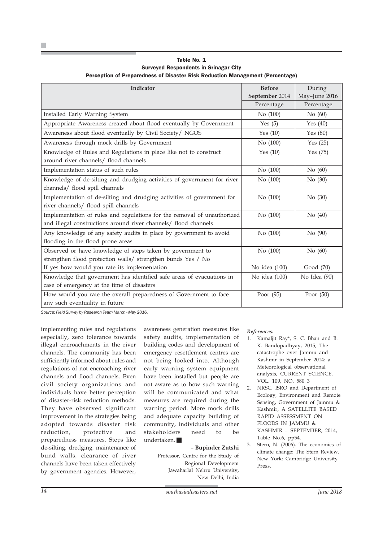| Indicator                                                                                                                                  | <b>Before</b>  | During        |
|--------------------------------------------------------------------------------------------------------------------------------------------|----------------|---------------|
|                                                                                                                                            | September 2014 | May-June 2016 |
|                                                                                                                                            | Percentage     | Percentage    |
| Installed Early Warning System                                                                                                             | No (100)       | No (60)       |
| Appropriate Awareness created about flood eventually by Government                                                                         | Yes $(5)$      | Yes $(40)$    |
| Awareness about flood eventually by Civil Society/ NGOS                                                                                    | Yes $(10)$     | Yes $(80)$    |
| Awareness through mock drills by Government                                                                                                | No (100)       | Yes $(25)$    |
| Knowledge of Rules and Regulations in place like not to construct<br>around river channels/ flood channels                                 | Yes $(10)$     | Yes $(75)$    |
| Implementation status of such rules                                                                                                        | No (100)       | No (60)       |
| Knowledge of de-silting and drudging activities of government for river<br>channels/ flood spill channels                                  | No (100)       | No (30)       |
| Implementation of de-silting and drudging activities of government for<br>river channels/ flood spill channels                             | No (100)       | No (30)       |
| Implementation of rules and regulations for the removal of unauthorized<br>and illegal constructions around river channels/ flood channels | No (100)       | No $(40)$     |
| Any knowledge of any safety audits in place by government to avoid<br>flooding in the flood prone areas                                    | No (100)       | No (90)       |
| Observed or have knowledge of steps taken by government to<br>strengthen flood protection walls/ strengthen bunds Yes / No                 | No (100)       | No (60)       |
| If yes how would you rate its implementation                                                                                               | No idea (100)  | Good (70)     |
| Knowledge that government has identified safe areas of evacuations in<br>case of emergency at the time of disasters                        | No idea (100)  | No Idea (90)  |
| How would you rate the overall preparedness of Government to face<br>any such eventuality in future                                        | Poor (95)      | Poor $(50)$   |

Table No. 1 Surveyed Respondents in Srinagar City Perception of Preparedness of Disaster Risk Reduction Management (Percentage)

*Source: Field Survey by Research Team March - May 2016.*

implementing rules and regulations especially, zero tolerance towards illegal encroachments in the river channels. The community has been sufficiently informed about rules and regulations of not encroaching river channels and flood channels. Even civil society organizations and individuals have better perception of disaster-risk reduction methods. They have observed significant improvement in the strategies being adopted towards disaster risk reduction, protective and preparedness measures. Steps like de-silting, dredging, maintenance of bund walls, clearance of river channels have been taken effectively by government agencies. However,

awareness generation measures like safety audits, implementation of building codes and development of emergency resettlement centres are not being looked into. Although early warning system equipment have been installed but people are not aware as to how such warning will be communicated and what measures are required during the warning period. More mock drills and adequate capacity building of community, individuals and other stakeholders need to be undertaken.

#### **– Bupinder Zutshi**

Professor, Centre for the Study of Regional Development Jawaharlal Nehru University, New Delhi, India

#### *References:*

- 1. Kamaljit Ray\*, S. C. Bhan and B. K. Bandopadhyay, 2015, The catastrophe over Jammu and Kashmir in September 2014: a Meteorological observational analysis, CURRENT SCIENCE, VOL. 109, NO. 580 3
- 2. NRSC, ISRO and Department of Ecology, Environment and Remote Sensing, Government of Jammu & Kashmir, A SATELLITE BASED RAPID ASSESSMENT ON FLOODS IN JAMMU & KASHMIR – SEPTEMBER, 2014, Table No.6, pp54.
- 3. Stern, N. (2006). The economics of climate change: The Stern Review. New York: Cambridge University Press.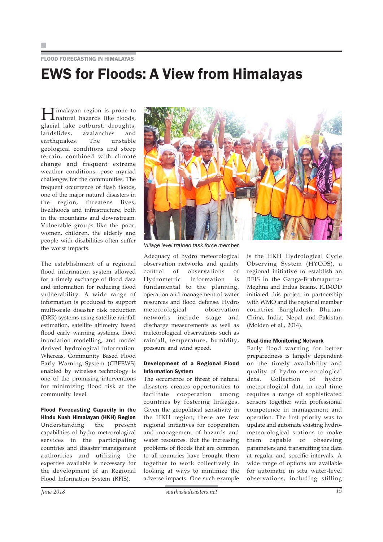### FLOOD FORECASTING IN HIMALAYAS EWS for Floods: A View from Himalayas

Himalayan region is prone to natural hazards like floods, glacial lake outburst, droughts, landslides, avalanches and earthquakes. The unstable geological conditions and steep terrain, combined with climate change and frequent extreme weather conditions, pose myriad challenges for the communities. The frequent occurrence of flash floods, one of the major natural disasters in the region, threatens lives, livelihoods and infrastructure, both in the mountains and downstream. Vulnerable groups like the poor, women, children, the elderly and people with disabilities often suffer the worst impacts.

The establishment of a regional flood information system allowed for a timely exchange of flood data and information for reducing flood vulnerability. A wide range of information is produced to support multi-scale disaster risk reduction (DRR) systems using satellite rainfall estimation, satellite altimetry based flood early warning systems, flood inundation modelling, and model derived hydrological information. Whereas, Community Based Flood Early Warning System (CBFEWS) enabled by wireless technology is one of the promising interventions for minimizing flood risk at the community level.

Flood Forecasting Capacity in the Hindu Kush Himalayan (HKH) Region Understanding the present capabilities of hydro meteorological services in the participating countries and disaster management authorities and utilizing the expertise available is necessary for the development of an Regional Flood Information System (RFIS).



disasters creates opportunities to facilitate cooperation among countries by fostering linkages. Given the geopolitical sensitivity in the HKH region, there are few regional initiatives for cooperation and management of hazards and water resources. But the increasing problems of floods that are common to all countries have brought them together to work collectively in looking at ways to minimize the adverse impacts. One such example

Adequacy of hydro meteorological observation networks and quality control of observations of Hydrometric information is fundamental to the planning, operation and management of water resources and flood defense. Hydro meteorological observation networks include stage and discharge measurements as well as

is the HKH Hydrological Cycle Observing System (HYCOS), a regional initiative to establish an RFIS in the Ganga-Brahmaputra-Meghna and Indus Basins. ICIMOD initiated this project in partnership with WMO and the regional member countries Bangladesh, Bhutan, China, India, Nepal and Pakistan (Molden et al., 2014).

#### Real-time Monitoring Network

Early flood warning for better preparedness is largely dependent on the timely availability and quality of hydro meteorological data. Collection of hydro meteorological data in real time requires a range of sophisticated sensors together with professional competence in management and operation. The first priority was to update and automate existing hydrometeorological stations to make them capable of observing parameters and transmitting the data at regular and specific intervals. A wide range of options are available for automatic in situ water-level observations, including stilling